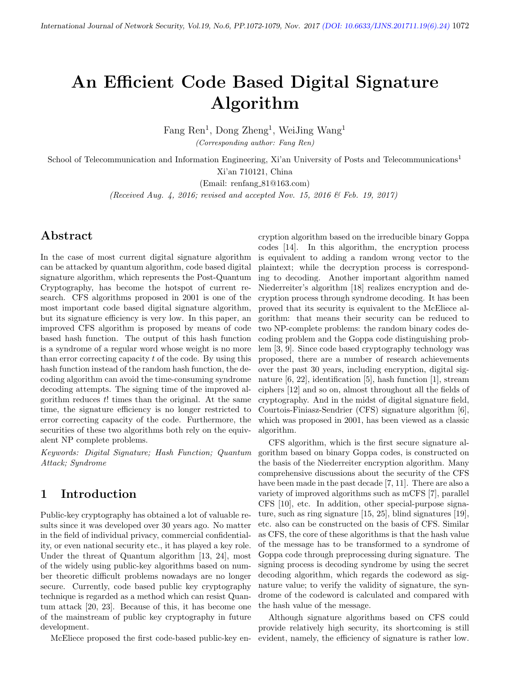# An Efficient Code Based Digital Signature Algorithm

Fang Ren<sup>1</sup>, Dong Zheng<sup>1</sup>, WeiJing Wang<sup>1</sup> (Corresponding author: Fang Ren)

School of Telecommunication and Information Engineering, Xi'an University of Posts and Telecommunications<sup>1</sup> Xi'an 710121, China

(Email: renfang 81@163.com)

(Received Aug. 4, 2016; revised and accepted Nov. 15, 2016 & Feb. 19, 2017)

# Abstract

In the case of most current digital signature algorithm can be attacked by quantum algorithm, code based digital signature algorithm, which represents the Post-Quantum Cryptography, has become the hotspot of current research. CFS algorithms proposed in 2001 is one of the most important code based digital signature algorithm, but its signature efficiency is very low. In this paper, an improved CFS algorithm is proposed by means of code based hash function. The output of this hash function is a syndrome of a regular word whose weight is no more than error correcting capacity t of the code. By using this hash function instead of the random hash function, the decoding algorithm can avoid the time-consuming syndrome decoding attempts. The signing time of the improved algorithm reduces  $t!$  times than the original. At the same time, the signature efficiency is no longer restricted to error correcting capacity of the code. Furthermore, the securities of these two algorithms both rely on the equivalent NP complete problems.

Keywords: Digital Signature; Hash Function; Quantum Attack; Syndrome

# 1 Introduction

Public-key cryptography has obtained a lot of valuable results since it was developed over 30 years ago. No matter in the field of individual privacy, commercial confidentiality, or even national security etc., it has played a key role. Under the threat of Quantum algorithm [13, 24], most of the widely using public-key algorithms based on number theoretic difficult problems nowadays are no longer secure. Currently, code based public key cryptography technique is regarded as a method which can resist Quantum attack [20, 23]. Because of this, it has become one of the mainstream of public key cryptography in future development.

McEliece proposed the first code-based public-key en-

cryption algorithm based on the irreducible binary Goppa codes [14]. In this algorithm, the encryption process is equivalent to adding a random wrong vector to the plaintext; while the decryption process is corresponding to decoding. Another important algorithm named Niederreiter's algorithm [18] realizes encryption and decryption process through syndrome decoding. It has been proved that its security is equivalent to the McEliece algorithm: that means their security can be reduced to two NP-complete problems: the random binary codes decoding problem and the Goppa code distinguishing problem [3, 9]. Since code based cryptography technology was proposed, there are a number of research achievements over the past 30 years, including encryption, digital signature [6, 22], identification [5], hash function [1], stream ciphers [12] and so on, almost throughout all the fields of cryptography. And in the midst of digital signature field, Courtois-Finiasz-Sendrier (CFS) signature algorithm [6], which was proposed in 2001, has been viewed as a classic algorithm.

CFS algorithm, which is the first secure signature algorithm based on binary Goppa codes, is constructed on the basis of the Niederreiter encryption algorithm. Many comprehensive discussions about the security of the CFS have been made in the past decade [7, 11]. There are also a variety of improved algorithms such as mCFS [7], parallel CFS [10], etc. In addition, other special-purpose signature, such as ring signature [15, 25], blind signatures [19], etc. also can be constructed on the basis of CFS. Similar as CFS, the core of these algorithms is that the hash value of the message has to be transformed to a syndrome of Goppa code through preprocessing during signature. The signing process is decoding syndrome by using the secret decoding algorithm, which regards the codeword as signature value; to verify the validity of signature, the syndrome of the codeword is calculated and compared with the hash value of the message.

Although signature algorithms based on CFS could provide relatively high security, its shortcoming is still evident, namely, the efficiency of signature is rather low.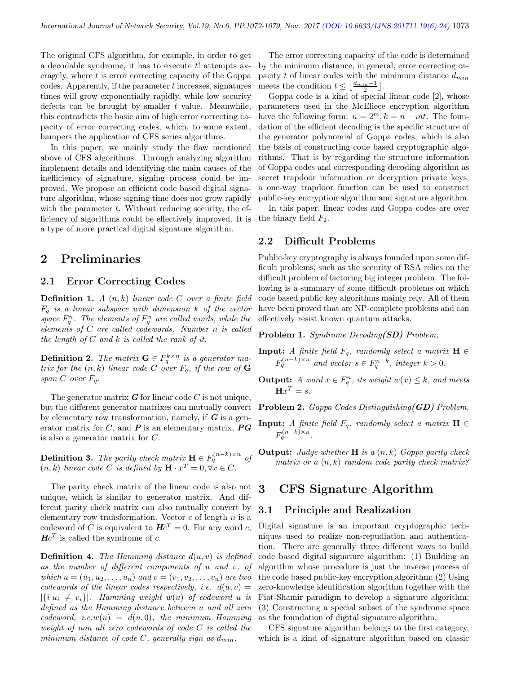The original CFS algorithm, for example, in order to get a decodable syndrome, it has to execute  $t!$  attempts averagely, where t is error correcting capacity of the Goppa  $\alpha$  codes. Apparently, if the parameter t increases, signatures times will grow exponentially rapidly, while low security defects can be brought by smaller  $t$  value. Meanwhile, this contradicts the basic aim of high error correcting capacity of error correcting codes, which, to some extent, hampers the application of CFS series algorithms.

In this paper, we mainly study the flaw mentioned above of CFS algorithms. Through analyzing algorithm implement details and identifying the main causes of the inefficiency of signature, signing process could be improved. We propose an efficient code based digital signature algorithm, whose signing time does not grow rapidly with the parameter  $t$ . Without reducing security, the efficiency of algorithms could be effectively improved. It is a type of more practical digital signature algorithm.

# 2 Preliminaries

#### 2.1 Error Correcting Codes

**Definition 1.** A  $(n, k)$  linear code C over a finite field  $F_q$  is a linear subspace with dimension k of the vector space  $F_q^n$ . The elements of  $F_q^n$  are called words, while the elements of C are called codewords. Number n is called the length of  $C$  and  $k$  is called the rank of it.

**Definition 2.** The matrix  $\mathbf{G} \in F_q^{k \times n}$  is a generator matrix for the  $(n, k)$  linear code C over  $F_q$ , if the row of G span  $C$  over  $F_q$ .

The generator matrix  $\boldsymbol{G}$  for linear code C is not unique, but the different generator matrixes can mutually convert by elementary row transformation, namely, if  $G$  is a generator matrix for  $C$ , and  $P$  is an elementary matrix,  $\overline{P}G$ is also a generator matrix for C.

**Definition 3.** The parity check matrix  $\mathbf{H} \in F_q^{(n-k)\times n}$  of  $(n, k)$  linear code C is defined by  $\mathbf{H} \cdot x^T = 0, \forall x \in C$ .

The parity check matrix of the linear code is also not unique, which is similar to generator matrix. And different parity check matrix can also mutually convert by elementary row transformation. Vector  $c$  of length  $n$  is a codeword of C is equivalent to  $He^{T} = 0$ . For any word c,  $He^{T}$  is called the syndrome of c.

**Definition 4.** The Hamming distance  $d(u, v)$  is defined as the number of different components of u and v, of which  $u = (u_1, u_2, \dots, u_n)$  and  $v = (v_1, v_2, \dots, v_n)$  are two codewords of the linear codes respectively, i.e.  $d(u, v) =$  $|\{i|u_i \neq v_i\}|$ . Hamming weight  $w(u)$  of codeword u is defined as the Hamming distance between u and all zero codeword, i.e.w(u) =  $d(u, 0)$ , the minimum Hamming weight of non all zero codewords of code C is called the minimum distance of code C, generally sign as  $d_{min}$ .

The error correcting capacity of the code is determined by the minimum distance, in general, error correcting capacity t of linear codes with the minimum distance  $d_{min}$ meets the condition  $t \leq \lfloor \frac{d_{min}-1}{2} \rfloor$ .

Goppa code is a kind of special linear code [2], whose parameters used in the McEliece encryption algorithm have the following form:  $n = 2^m, k = n - mt$ . The foundation of the efficient decoding is the specific structure of the generator polynomial of Goppa codes, which is also the basis of constructing code based cryptographic algorithms. That is by regarding the structure information of Goppa codes and corresponding decoding algorithm as secret trapdoor information or decryption private keys, a one-way trapdoor function can be used to construct public-key encryption algorithm and signature algorithm.

In this paper, linear codes and Goppa codes are over the binary field  $F_2$ .

#### 2.2 Difficult Problems

Public-key cryptography is always founded upon some difficult problems, such as the security of RSA relies on the difficult problem of factoring big integer problem. The following is a summary of some difficult problems on which code based public key algorithms mainly rely. All of them have been proved that are NP-complete problems and can effectively resist known quantum attacks.

Problem 1. Syndrome Decoding(SD) Problem,

- **Input:** A finite field  $F_q$ , randomly select a matrix  $\mathbf{H} \in$  $F_q^{(n-k)\times n}$  and vector  $s \in F_q^{n-k}$ , integer  $k > 0$ .
- **Output:** A word  $x \in F_q^n$ , its weight  $w(x) \leq k$ , and meets  $\mathbf{H}x^T = s.$

Problem 2. Goppa Codes Distinguishing(GD) Problem,

- **Input:** A finite field  $F_q$ , randomly select a matrix  $\mathbf{H} \in$  $F_q^{(n-k)\times n}$ .
- **Output:** Judge whether  $H$  is a  $(n, k)$  Goppa parity check matrix or a  $(n, k)$  random code parity check matrix?

### 3 CFS Signature Algorithm

#### 3.1 Principle and Realization

Digital signature is an important cryptographic techniques used to realize non-repudiation and authentication. There are generally three different ways to build code based digital signature algorithm: (1) Building an algorithm whose procedure is just the inverse process of the code based public-key encryption algorithm; (2) Using zero-knowledge identification algorithm together with the Fiat-Shamir paradigm to develop a signature algorithm; (3) Constructing a special subset of the syndrome space as the foundation of digital signature algorithm.

CFS signature algorithm belongs to the first category, which is a kind of signature algorithm based on classic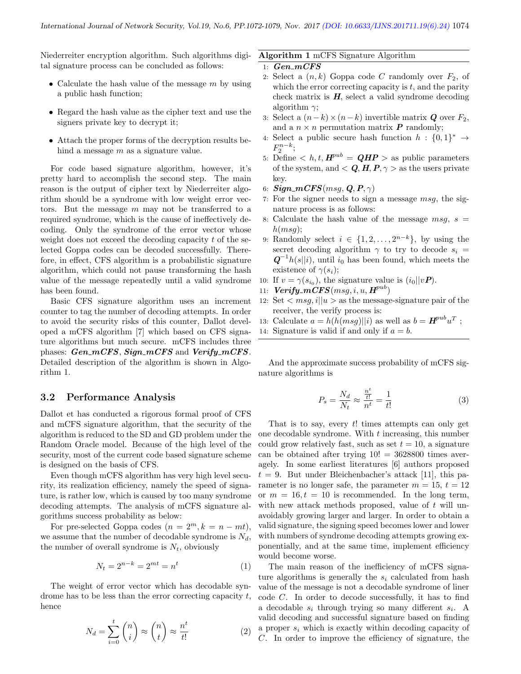Niederreiter encryption algorithm. Such algorithms digital signature process can be concluded as follows:

- Calculate the hash value of the message  $m$  by using a public hash function;
- Regard the hash value as the cipher text and use the signers private key to decrypt it;
- Attach the proper forms of the decryption results behind a message  $m$  as a signature value.

For code based signature algorithm, however, it's pretty hard to accomplish the second step. The main reason is the output of cipher text by Niederreiter algorithm should be a syndrome with low weight error vectors. But the message  $m$  may not be transferred to a required syndrome, which is the cause of ineffectively decoding. Only the syndrome of the error vector whose weight does not exceed the decoding capacity t of the selected Goppa codes can be decoded successfully. Therefore, in effect, CFS algorithm is a probabilistic signature algorithm, which could not pause transforming the hash value of the message repeatedly until a valid syndrome has been found.

Basic CFS signature algorithm uses an increment counter to tag the number of decoding attempts. In order to avoid the security risks of this counter, Dallot developed a mCFS algorithm [7] which based on CFS signature algorithms but much secure. mCFS includes three phases:  $Gen_mCFS$ ,  $Sign_mCFS$  and  $Verify_mCFS$ . Detailed description of the algorithm is shown in Algorithm 1.

#### 3.2 Performance Analysis

Dallot et has conducted a rigorous formal proof of CFS and mCFS signature algorithm, that the security of the algorithm is reduced to the SD and GD problem under the Random Oracle model. Because of the high level of the security, most of the current code based signature scheme is designed on the basis of CFS.

Even though mCFS algorithm has very high level security, its realization efficiency, namely the speed of signature, is rather low, which is caused by too many syndrome decoding attempts. The analysis of mCFS signature algorithms success probability as below:

For pre-selected Goppa codes  $(n = 2<sup>m</sup>, k = n - mt)$ , we assume that the number of decodable syndrome is  $N_d$ , the number of overall syndrome is  $N_t$ , obviously

$$
N_t = 2^{n-k} = 2^{mt} = n^t \tag{1}
$$

The weight of error vector which has decodable syndrome has to be less than the error correcting capacity t, hence

$$
N_d = \sum_{i=0}^{t} \binom{n}{i} \approx \binom{n}{t} \approx \frac{n^t}{t!}
$$
 (2)

#### Algorithm 1 mCFS Signature Algorithm

- $1: Gen\_mCFS$
- 2: Select a  $(n, k)$  Goppa code C randomly over  $F_2$ , of which the error correcting capacity is  $t$ , and the parity check matrix is  $H$ , select a valid syndrome decoding algorithm  $\gamma$ ;
- 3: Select a  $(n-k) \times (n-k)$  invertible matrix *Q* over  $F_2$ , and a  $n \times n$  permutation matrix **P** randomly;
- 4: Select a public secure hash function  $h: \{0,1\}^* \rightarrow$  $F_2^{n-k}$ ;
- 5: Define  $\langle h, t, H^{pub} = QHP \rangle$  as public parameters of the system, and  $Q, H, P, \gamma >$  as the users private key.
- 6:  $Sign\_mCFS(msg, Q, P, \gamma)$
- 7: For the signer needs to sign a message msg, the signature process is as follows:
- 8: Calculate the hash value of the message  $msg, s =$  $h(msq)$ :
- 9: Randomly select  $i \in \{1, 2, \ldots, 2^{n-k}\},$  by using the secret decoding algorithm  $\gamma$  to try to decode  $s_i$  $\mathbf{Q}^{-1}h(s||i)$ , until  $i_0$  has been found, which meets the existence of  $\gamma(s_i)$ ;
- 10: If  $v = \gamma(s_{i_0})$ , the signature value is  $(i_0||v\mathbf{P})$ .
- 11:  $Verify\_mCFS(msg, i, u, H^{pub})$
- 12: Set  $\langle msq, i||u\rangle$  as the message-signature pair of the receiver, the verify process is:
- 13: Calculate  $a = h(h(msg)||i)$  as well as  $b = H^{pub}u^T$ ;
- 14: Signature is valid if and only if  $a = b$ .

And the approximate success probability of mCFS signature algorithms is

$$
P_s = \frac{N_d}{N_t} \approx \frac{\frac{n^t}{t!}}{n^t} = \frac{1}{t!}
$$
 (3)

That is to say, every  $t!$  times attempts can only get one decodable syndrome. With  $t$  increasing, this number could grow relatively fast, such as set  $t = 10$ , a signature can be obtained after trying  $10! = 3628800$  times averagely. In some earliest literatures [6] authors proposed  $t = 9$ . But under Bleichenbacher's attack [11], this parameter is no longer safe, the parameter  $m = 15$ ,  $t = 12$ or  $m = 16, t = 10$  is recommended. In the long term, with new attack methods proposed, value of  $t$  will unavoidably growing larger and larger. In order to obtain a valid signature, the signing speed becomes lower and lower with numbers of syndrome decoding attempts growing exponentially, and at the same time, implement efficiency would become worse.

The main reason of the inefficiency of mCFS signature algorithms is generally the  $s_i$  calculated from hash value of the message is not a decodable syndrome of liner code C. In order to decode successfully, it has to find a decodable  $s_i$  through trying so many different  $s_i$ . A valid decoding and successful signature based on finding a proper  $s_i$  which is exactly within decoding capacity of C. In order to improve the efficiency of signature, the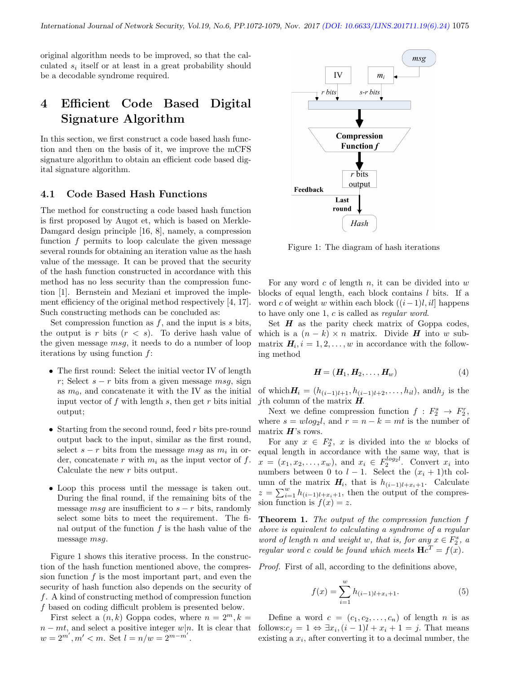original algorithm needs to be improved, so that the calculated  $s_i$  itself or at least in a great probability should be a decodable syndrome required.

# 4 Efficient Code Based Digital Signature Algorithm

In this section, we first construct a code based hash function and then on the basis of it, we improve the mCFS signature algorithm to obtain an efficient code based digital signature algorithm.

#### 4.1 Code Based Hash Functions

The method for constructing a code based hash function is first proposed by Augot et, which is based on Merkle-Damgard design principle [16, 8], namely, a compression function  $f$  permits to loop calculate the given message several rounds for obtaining an iteration value as the hash value of the message. It can be proved that the security of the hash function constructed in accordance with this method has no less security than the compression function [1]. Bernstein and Meziani et improved the implement efficiency of the original method respectively [4, 17]. Such constructing methods can be concluded as:

Set compression function as  $f$ , and the input is  $s$  bits, the output is r bits  $(r < s)$ . To derive hash value of the given message  $msq$ , it needs to do a number of loop iterations by using function  $f$ :

- The first round: Select the initial vector IV of length r; Select  $s - r$  bits from a given message msg, sign as  $m_0$ , and concatenate it with the IV as the initial input vector of  $f$  with length  $s$ , then get  $r$  bits initial output;
- Starting from the second round, feed  $r$  bits pre-round output back to the input, similar as the first round, select  $s - r$  bits from the message  $msg$  as  $m_i$  in order, concatenate r with  $m_i$  as the input vector of f. Calculate the new r bits output.
- Loop this process until the message is taken out. During the final round, if the remaining bits of the message msg are insufficient to  $s - r$  bits, randomly select some bits to meet the requirement. The final output of the function  $f$  is the hash value of the message msg.

Figure 1 shows this iterative process. In the construction of the hash function mentioned above, the compression function  $f$  is the most important part, and even the security of hash function also depends on the security of f. A kind of constructing method of compression function f based on coding difficult problem is presented below.

First select a  $(n, k)$  Goppa codes, where  $n = 2^m, k =$  $n - mt$ , and select a positive integer w|n. It is clear that  $w = 2^{m'}$ ,  $m' < m$ . Set  $l = n/w = 2^{m-m'}$ .



Figure 1: The diagram of hash iterations

For any word  $c$  of length  $n$ , it can be divided into  $w$ blocks of equal length, each block contains  $l$  bits. If a word c of weight w within each block  $((i-1)l, il]$  happens to have only one 1,  $c$  is called as *regular word*.

Set  $H$  as the parity check matrix of Goppa codes, which is a  $(n - k) \times n$  matrix. Divide **H** into w submatrix  $H_i$ ,  $i = 1, 2, \ldots, w$  in accordance with the following method

$$
\boldsymbol{H} = (\boldsymbol{H}_1, \boldsymbol{H}_2, \dots, \boldsymbol{H}_w) \tag{4}
$$

of which  $H_i = (h_{(i-1)l+1}, h_{(i-1)l+2}, \ldots, h_{il})$ , and  $h_j$  is the *j*th column of the matrix  $H$ .

Next we define compression function  $f: F_2^s \to F_2^r$ , where  $s = w \log_2 l$ , and  $r = n - k = mt$  is the number of matrix  $H$ 's rows.

For any  $x \in F_2^s$ , x is divided into the w blocks of equal length in accordance with the same way, that is  $x = (x_1, x_2, \dots, x_w)$ , and  $x_i \in F_2^{\log_2 l}$ . Convert  $x_i$  into numbers between 0 to  $l-1$ . Select the  $(x_i + 1)$ th column of the matrix  $H_i$ , that is  $h_{(i-1)l+x_i+1}$ . Calculate  $z = \sum_{i=1}^{w} h_{(i-1)l+x_i+1}$ , then the output of the compression function is  $f(x) = z$ .

Theorem 1. The output of the compression function f above is equivalent to calculating a syndrome of a regular word of length n and weight w, that is, for any  $x \in F_2^s$ , a regular word c could be found which meets  $Hc^T = f(x)$ .

Proof. First of all, according to the definitions above,

$$
f(x) = \sum_{i=1}^{w} h_{(i-1)l + x_i + 1}.
$$
 (5)

Define a word  $c = (c_1, c_2, \ldots, c_n)$  of length n is as follows: $c_j = 1 \Leftrightarrow \exists x_i, (i-1)l + x_i + 1 = j$ . That means existing a  $x_i$ , after converting it to a decimal number, the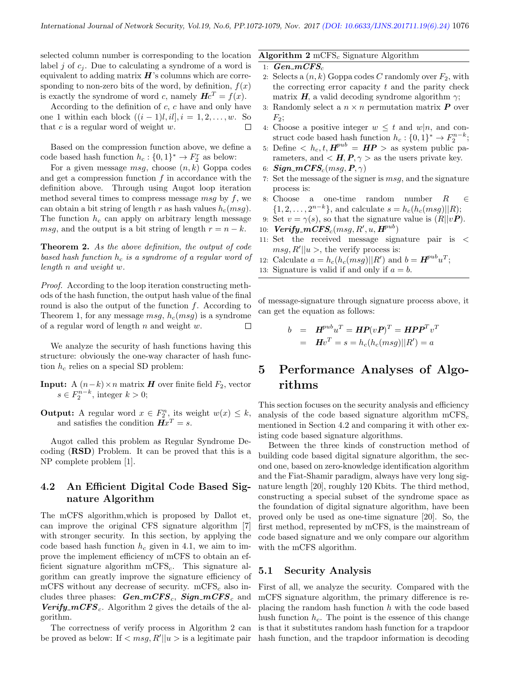selected column number is corresponding to the location label j of  $c_j$ . Due to calculating a syndrome of a word is equivalent to adding matrix  $\boldsymbol{H}$ 's columns which are corresponding to non-zero bits of the word, by definition,  $f(x)$ is exactly the syndrome of word c, namely  $Hc^T = f(x)$ .

According to the definition of  $c$ ,  $c$  have and only have one 1 within each block  $((i - 1)l, il], i = 1, 2, \ldots, w$ . So that c is a regular word of weight w.  $\Box$ 

Based on the compression function above, we define a code based hash function  $h_c: \{0,1\}^* \to F_2^r$  as below:

For a given message  $msg$ , choose  $(n, k)$  Goppa codes and get a compression function  $f$  in accordance with the definition above. Through using Augot loop iteration method several times to compress message msg by  $f$ , we can obtain a bit string of length r as hash values  $h_c(msq)$ . The function  $h_c$  can apply on arbitrary length message msg, and the output is a bit string of length  $r = n - k$ .

Theorem 2. As the above definition, the output of code based hash function  $h_c$  is a syndrome of a regular word of length n and weight w.

Proof. According to the loop iteration constructing methods of the hash function, the output hash value of the final round is also the output of the function f. According to Theorem 1, for any message  $msg, h_c(msg)$  is a syndrome of a regular word of length  $n$  and weight  $w$ .  $\Box$ 

We analyze the security of hash functions having this structure: obviously the one-way character of hash function  $h_c$  relies on a special SD problem:

**Input:** A  $(n-k) \times n$  matrix **H** over finite field  $F_2$ , vector  $s \in F_2^{n-k}$ , integer  $k > 0$ ;

**Output:** A regular word  $x \in F_2^n$ , its weight  $w(x) \leq k$ , and satisfies the condition  $Hx^T = s$ .

Augot called this problem as Regular Syndrome Decoding (RSD) Problem. It can be proved that this is a NP complete problem [1].

#### 4.2 An Efficient Digital Code Based Signature Algorithm

The mCFS algorithm,which is proposed by Dallot et, can improve the original CFS signature algorithm [7] with stronger security. In this section, by applying the code based hash function  $h_c$  given in 4.1, we aim to improve the implement efficiency of mCFS to obtain an efficient signature algorithm  $mCFS_c$ . This signature algorithm can greatly improve the signature efficiency of mCFS without any decrease of security. mCFS<sub>c</sub> also includes three phases:  $Gen\_mCFS_c$ ,  $Sign\_mCFS_c$  and **Verify\_mCFS**<sub>c</sub>. Algorithm 2 gives the details of the algorithm.

The correctness of verify process in Algorithm 2 can be proved as below: If  $\langle msg, R' || u \rangle$  is a legitimate pair

#### Algorithm  $2 \text{ mCFS}_c$  Signature Algorithm

- 1:  $Gen\_mCFS_c$
- 2: Selects a  $(n, k)$  Goppa codes C randomly over  $F_2$ , with the correcting error capacity  $t$  and the parity check matrix **H**, a valid decoding syndrome algorithm  $\gamma$ ;
- 3: Randomly select a  $n \times n$  permutation matrix **P** over  $F_2$ ;
- 4: Choose a positive integer  $w \leq t$  and  $w|n$ , and construct code based hash function  $h_c: \{0,1\}^* \to F_2^{n-k};$
- 5: Define  $\langle h_c, t, H^{pub} = HP \rangle$  as system public parameters, and  $\langle H, P, \gamma \rangle$  as the users private key.
- 6:  $Sign\_mCFS_c(msg, P, \gamma)$
- 7: Set the message of the signer is  $msg$ , and the signature process is:
- 8: Choose a one-time random number  $R \in \mathbb{R}$  $\{1, 2, ..., 2^{n-k}\},$  and calculate  $s = h_c(h_c(msg)||R);$
- 9: Set  $v = \gamma(s)$ , so that the signature value is  $(R||vP)$ .
- 10:  $Verify\_mCFS_c(msg, R', u, H^{pub})$
- 11: Set the received message signature pair is <  $msg, R'||u >$ , the verify process is:
- 12: Calculate  $a = h_c(h_c(msg)||R')$  and  $b = H^{pub}u^T$ ;
- 13: Signature is valid if and only if  $a = b$ .

of message-signature through signature process above, it can get the equation as follows:

$$
b = H^{pub}u^T = HP(vP)^T = HPP^Tv^T
$$
  
=  $Hv^T = s = h_c(h_c(msg)||R') = a$ 

# 5 Performance Analyses of Algorithms

This section focuses on the security analysis and efficiency analysis of the code based signature algorithm  $mCFS_c$ mentioned in Section 4.2 and comparing it with other existing code based signature algorithms.

Between the three kinds of construction method of building code based digital signature algorithm, the second one, based on zero-knowledge identification algorithm and the Fiat-Shamir paradigm, always have very long signature length [20], roughly 120 Kbits. The third method, constructing a special subset of the syndrome space as the foundation of digital signature algorithm, have been proved only be used as one-time signature [20]. So, the first method, represented by mCFS, is the mainstream of code based signature and we only compare our algorithm with the mCFS algorithm.

#### 5.1 Security Analysis

First of all, we analyze the security. Compared with the mCFS signature algorithm, the primary difference is replacing the random hash function  $h$  with the code based hush function  $h_c$ . The point is the essence of this change is that it substitutes random hash function for a trapdoor hash function, and the trapdoor information is decoding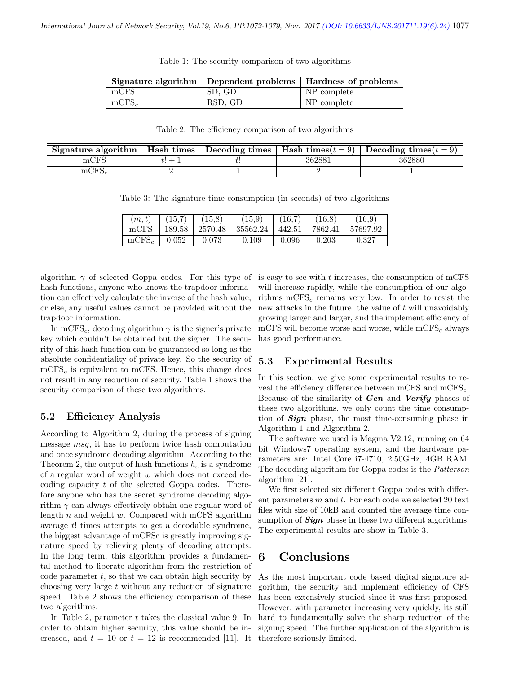|          |         | Signature algorithm   Dependent problems   Hardness of problems |
|----------|---------|-----------------------------------------------------------------|
| mCFS     | SD. GD  | NP complete                                                     |
| $mCFS_c$ | RSD, GD | NP complete                                                     |

Table 1: The security comparison of two algorithms

Table 2: The efficiency comparison of two algorithms

| Signature algorithm $\parallel$ | Hash times |        | Decoding times   Hash times $(t = 9)$   Decoding times $(t = 9)$ |
|---------------------------------|------------|--------|------------------------------------------------------------------|
| mCFS                            |            | 362881 | 362880                                                           |
|                                 |            |        |                                                                  |

Table 3: The signature time consumption (in seconds) of two algorithms

| (m, t)   | 15,7        | 15,8        | $\left(15.9\right)$ | 16,7   | 16.8    | 16.9     |
|----------|-------------|-------------|---------------------|--------|---------|----------|
| mCFS     | 189.58      | 2570.48     | 35562.24            | 442.51 | 7862.41 | 57697.92 |
| $mCFS_c$ | $\,0.052\,$ | $\,0.073\,$ | 0.109               | 0.096  | 0.203   | 0.327    |

algorithm  $\gamma$  of selected Goppa codes. For this type of hash functions, anyone who knows the trapdoor information can effectively calculate the inverse of the hash value, or else, any useful values cannot be provided without the trapdoor information.

In mCFS<sub>c</sub>, decoding algorithm  $\gamma$  is the signer's private key which couldn't be obtained but the signer. The security of this hash function can be guaranteed so long as the absolute confidentiality of private key. So the security of  $mCFS<sub>c</sub>$  is equivalent to mCFS. Hence, this change does not result in any reduction of security. Table 1 shows the security comparison of these two algorithms.

#### 5.2 Efficiency Analysis

According to Algorithm 2, during the process of signing message msg, it has to perform twice hash computation and once syndrome decoding algorithm. According to the Theorem 2, the output of hash functions  $h_c$  is a syndrome of a regular word of weight w which does not exceed decoding capacity t of the selected Goppa codes. Therefore anyone who has the secret syndrome decoding algorithm  $\gamma$  can always effectively obtain one regular word of length  $n$  and weight  $w$ . Compared with mCFS algorithm average t! times attempts to get a decodable syndrome, the biggest advantage of mCFSc is greatly improving signature speed by relieving plenty of decoding attempts. In the long term, this algorithm provides a fundamental method to liberate algorithm from the restriction of code parameter  $t$ , so that we can obtain high security by choosing very large t without any reduction of signature speed. Table 2 shows the efficiency comparison of these two algorithms.

In Table 2, parameter  $t$  takes the classical value 9. In order to obtain higher security, this value should be increased, and  $t = 10$  or  $t = 12$  is recommended [11]. It

is easy to see with t increases, the consumption of mCFS will increase rapidly, while the consumption of our algorithms  $mCFS<sub>c</sub>$  remains very low. In order to resist the new attacks in the future, the value of  $t$  will unavoidably growing larger and larger, and the implement efficiency of mCFS will become worse and worse, while  $mCFS_c$  always has good performance.

#### 5.3 Experimental Results

In this section, we give some experimental results to reveal the efficiency difference between mCFS and mCFS<sub>c</sub>. Because of the similarity of  $Gen$  and  $Verify$  phases of these two algorithms, we only count the time consumption of Sign phase, the most time-consuming phase in Algorithm 1 and Algorithm 2.

The software we used is Magma V2.12, running on 64 bit Windows7 operating system, and the hardware parameters are: Intel Core i7-4710, 2.50GHz, 4GB RAM. The decoding algorithm for Goppa codes is the Patterson algorithm [21].

We first selected six different Goppa codes with different parameters  $m$  and  $t$ . For each code we selected 20 text files with size of 10kB and counted the average time consumption of  $Sign$  phase in these two different algorithms. The experimental results are show in Table 3.

### 6 Conclusions

As the most important code based digital signature algorithm, the security and implement efficiency of CFS has been extensively studied since it was first proposed. However, with parameter increasing very quickly, its still hard to fundamentally solve the sharp reduction of the signing speed. The further application of the algorithm is therefore seriously limited.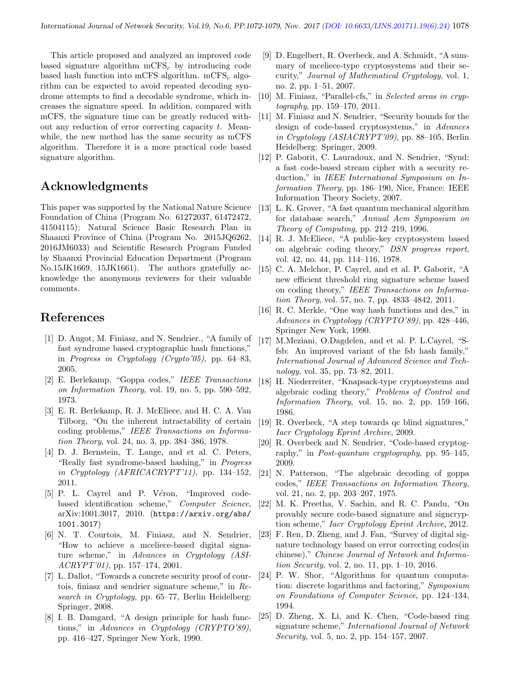This article proposed and analyzed an improved code based signature algorithm  $\text{mCFS}_c$  by introducing code based hash function into mCFS algorithm. mCFS<sub>c</sub> algorithm can be expected to avoid repeated decoding syndrome attempts to find a decodable syndrome, which increases the signature speed. In addition, compared with mCFS, the signature time can be greatly reduced without any reduction of error correcting capacity  $t$ . Meanwhile, the new method has the same security as mCFS algorithm. Therefore it is a more practical code based signature algorithm.

# Acknowledgments

This paper was supported by the National Nature Science Foundation of China (Program No. 61272037, 61472472, 41504115); Natural Science Basic Research Plan in Shaanxi Province of China (Program No. 2015JQ6262, 2016JM6033) and Scientific Research Program Funded by Shaanxi Provincial Education Department (Program No.15JK1669, 15JK1661). The authors gratefully acknowledge the anonymous reviewers for their valuable comments.

### References

- [1] D. Augot, M. Finiasz, and N. Sendrier., "A family of fast syndrome based cryptographic hash functions," in Progress in Cryptology (Crypto'05), pp. 64–83, 2005.
- [2] E. Berlekamp, "Goppa codes," IEEE Transactions on Information Theory, vol. 19, no. 5, pp. 590–592, 1973.
- [3] E. R. Berlekamp, R. J. McEliece, and H. C. A. Van Tilborg, "On the inherent intractability of certain coding problems," IEEE Transactions on Information Theory, vol. 24, no. 3, pp. 384–386, 1978.
- [4] D. J. Bernstein, T. Lange, and et al. C. Peters, "Really fast syndrome-based hashing," in Progress in Cryptology (AFRICACRYPT'11), pp. 134–152, 2011.
- [5] P. L. Cayrel and P. Véron, "Improved codebased identification scheme," Computer Science, arXiv:1001.3017, 2010. (https://arxiv.org/abs/ 1001.3017)
- [6] N. T. Courtois, M. Finiasz, and N. Sendrier, "How to achieve a mceliece-based digital signature scheme," in Advances in Cryptology (ASI-ACRYPT'01), pp. 157–174, 2001.
- [7] L. Dallot, "Towards a concrete security proof of courtois, finiasz and sendrier signature scheme," in Research in Cryptology, pp. 65–77, Berlin Heidelberg: Springer, 2008.
- [8] I. B. Damgard, "A design principle for hash functions," in Advances in Cryptology (CRYPTO'89), pp. 416–427, Springer New York, 1990.
- [9] D. Engelbert, R. Overbeck, and A. Schmidt, "A summary of mceliece-type cryptosystems and their security," Journal of Mathematical Cryptology, vol. 1, no. 2, pp. 1–51, 2007.
- [10] M. Finiasz, "Parallel-cfs," in Selected areas in cryptography, pp. 159–170, 2011.
- [11] M. Finiasz and N. Sendrier, "Security bounds for the design of code-based cryptosystems," in Advances in Cryptology (ASIACRYPT'09), pp. 88–105, Berlin Heidelberg: Springer, 2009.
- [12] P. Gaborit, C. Lauradoux, and N. Sendrier, "Synd: a fast code-based stream cipher with a security reduction," in IEEE International Symposium on Information Theory, pp. 186–190, Nice, France: IEEE Information Theory Society, 2007.
- [13] L. K. Grover, "A fast quantum mechanical algorithm for database search," Annual Acm Symposium on Theory of Computing, pp. 212–219, 1996.
- [14] R. J. McEliece, "A public-key cryptosystem based on algebraic coding theory," DSN progress report, vol. 42, no. 44, pp. 114–116, 1978.
- [15] C. A. Melchor, P. Cayrel, and et al. P. Gaborit, "A new efficient threshold ring signature scheme based on coding theory," IEEE Transactions on Information Theory, vol. 57, no. 7, pp. 4833–4842, 2011.
- [16] R. C. Merkle, "One way hash functions and des," in Advances in Cryptology (CRYPTO'89), pp. 428–446, Springer New York, 1990.
- [17] M.Meziani, O.Dagdelen, and et al. P. L.Cayrel, "Sfsb: An improved variant of the fsb hash family," International Journal of Advanced Science and Technology, vol. 35, pp. 73–82, 2011.
- [18] H. Niederreiter, "Knapsack-type cryptosystems and algebraic coding theory," Problems of Control and Information Theory, vol. 15, no. 2, pp. 159–166, 1986.
- [19] R. Overbeck, "A step towards qc blind signatures," Iacr Cryptology Eprint Archive, 2009.
- [20] R. Overbeck and N. Sendrier, "Code-based cryptography," in Post-quantum cryptography, pp. 95–145, 2009.
- [21] N. Patterson, "The algebraic decoding of goppa codes," IEEE Transactions on Information Theory, vol. 21, no. 2, pp. 203–207, 1975.
- [22] M. K. Preetha, V. Sachin, and R. C. Pandu, "On provably secure code-based signature and signcryption scheme," Iacr Cryptology Eprint Archive, 2012.
- [23] F. Ren, D. Zheng, and J. Fan, "Survey of digital signature technology based on error correcting codes(in chinese)," Chinese Journal of Network and Information Security, vol. 2, no. 11, pp. 1–10, 2016.
- [24] P. W. Shor, "Algorithms for quantum computation: discrete logarithms and factoring," Symposium on Foundations of Computer Science, pp. 124–134, 1994.
- [25] D. Zheng, X. Li, and K. Chen, "Code-based ring signature scheme," International Journal of Network Security, vol. 5, no. 2, pp. 154–157, 2007.